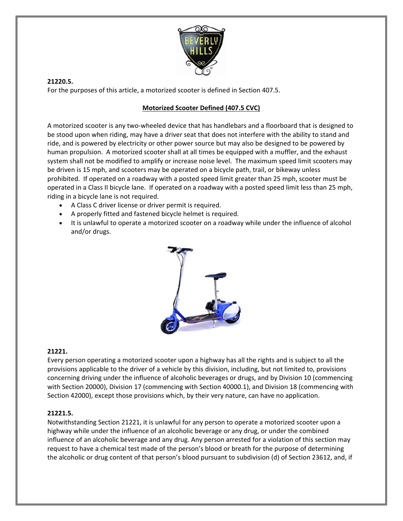

**21220.5.**  For the purposes of this article, a motorized scooter is defined in Section 407.5.

## **Motorized Scooter Defined (407.5 CVC)**

A motorized scooter is any two‐wheeled device that has handlebars and a floorboard that is designed to be stood upon when riding, may have a driver seat that does not interfere with the ability to stand and ride, and is powered by electricity or other power source but may also be designed to be powered by human propulsion. A motorized scooter shall at all times be equipped with a muffler, and the exhaust system shall not be modified to amplify or increase noise level. The maximum speed limit scooters may be driven is 15 mph, and scooters may be operated on a bicycle path, trail, or bikeway unless prohibited. If operated on a roadway with a posted speed limit greater than 25 mph, scooter must be operated in a Class II bicycle lane. If operated on a roadway with a posted speed limit less than 25 mph, riding in a bicycle lane is not required.

- A Class C driver license or driver permit is required.
- A properly fitted and fastened bicycle helmet is required.
- It is unlawful to operate a motorized scooter on a roadway while under the influence of alcohol and/or drugs.



#### **21221.**

Every person operating a motorized scooter upon a highway has all the rights and is subject to all the provisions applicable to the driver of a vehicle by this division, including, but not limited to, provisions concerning driving under the influence of alcoholic beverages or drugs, and by Division 10 (commencing with Section 20000), Division 17 (commencing with Section 40000.1), and Division 18 (commencing with Section 42000), except those provisions which, by their very nature, can have no application.

#### **21221.5.**

Notwithstanding Section 21221, it is unlawful for any person to operate a motorized scooter upon a highway while under the influence of an alcoholic beverage or any drug, or under the combined influence of an alcoholic beverage and any drug. Any person arrested for a violation of this section may request to have a chemical test made of the person's blood or breath for the purpose of determining the alcoholic or drug content of that person's blood pursuant to subdivision (d) of Section 23612, and, if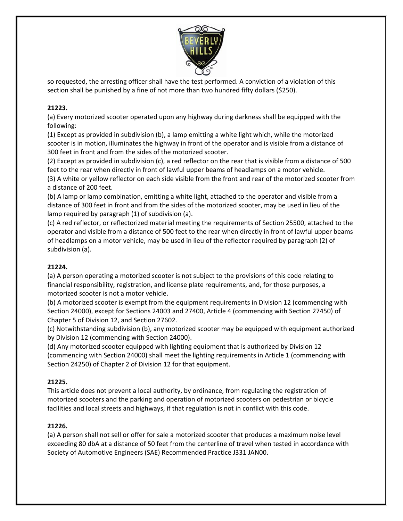

so requested, the arresting officer shall have the test performed. A conviction of a violation of this section shall be punished by a fine of not more than two hundred fifty dollars (\$250).

# **21223.**

(a) Every motorized scooter operated upon any highway during darkness shall be equipped with the following:

(1) Except as provided in subdivision (b), a lamp emitting a white light which, while the motorized scooter is in motion, illuminates the highway in front of the operator and is visible from a distance of 300 feet in front and from the sides of the motorized scooter.

(2) Except as provided in subdivision (c), a red reflector on the rear that is visible from a distance of 500 feet to the rear when directly in front of lawful upper beams of headlamps on a motor vehicle.

(3) A white or yellow reflector on each side visible from the front and rear of the motorized scooter from a distance of 200 feet.

(b) A lamp or lamp combination, emitting a white light, attached to the operator and visible from a distance of 300 feet in front and from the sides of the motorized scooter, may be used in lieu of the lamp required by paragraph (1) of subdivision (a).

(c) A red reflector, or reflectorized material meeting the requirements of Section 25500, attached to the operator and visible from a distance of 500 feet to the rear when directly in front of lawful upper beams of headlamps on a motor vehicle, may be used in lieu of the reflector required by paragraph (2) of subdivision (a).

### **21224.**

(a) A person operating a motorized scooter is not subject to the provisions of this code relating to financial responsibility, registration, and license plate requirements, and, for those purposes, a motorized scooter is not a motor vehicle.

(b) A motorized scooter is exempt from the equipment requirements in Division 12 (commencing with Section 24000), except for Sections 24003 and 27400, Article 4 (commencing with Section 27450) of Chapter 5 of Division 12, and Section 27602.

(c) Notwithstanding subdivision (b), any motorized scooter may be equipped with equipment authorized by Division 12 (commencing with Section 24000).

(d) Any motorized scooter equipped with lighting equipment that is authorized by Division 12 (commencing with Section 24000) shall meet the lighting requirements in Article 1 (commencing with Section 24250) of Chapter 2 of Division 12 for that equipment.

### **21225.**

This article does not prevent a local authority, by ordinance, from regulating the registration of motorized scooters and the parking and operation of motorized scooters on pedestrian or bicycle facilities and local streets and highways, if that regulation is not in conflict with this code.

### **21226.**

(a) A person shall not sell or offer for sale a motorized scooter that produces a maximum noise level exceeding 80 dbA at a distance of 50 feet from the centerline of travel when tested in accordance with Society of Automotive Engineers (SAE) Recommended Practice J331 JAN00.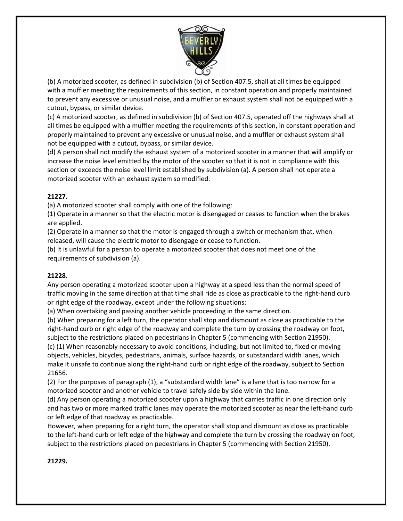

(b) A motorized scooter, as defined in subdivision (b) of Section 407.5, shall at all times be equipped with a muffler meeting the requirements of this section, in constant operation and properly maintained to prevent any excessive or unusual noise, and a muffler or exhaust system shall not be equipped with a cutout, bypass, or similar device.

(c) A motorized scooter, as defined in subdivision (b) of Section 407.5, operated off the highways shall at all times be equipped with a muffler meeting the requirements of this section, in constant operation and properly maintained to prevent any excessive or unusual noise, and a muffler or exhaust system shall not be equipped with a cutout, bypass, or similar device.

(d) A person shall not modify the exhaust system of a motorized scooter in a manner that will amplify or increase the noise level emitted by the motor of the scooter so that it is not in compliance with this section or exceeds the noise level limit established by subdivision (a). A person shall not operate a motorized scooter with an exhaust system so modified.

### **21227.**

(a) A motorized scooter shall comply with one of the following:

(1) Operate in a manner so that the electric motor is disengaged or ceases to function when the brakes are applied.

(2) Operate in a manner so that the motor is engaged through a switch or mechanism that, when released, will cause the electric motor to disengage or cease to function.

(b) It is unlawful for a person to operate a motorized scooter that does not meet one of the requirements of subdivision (a).

#### **21228.**

Any person operating a motorized scooter upon a highway at a speed less than the normal speed of traffic moving in the same direction at that time shall ride as close as practicable to the right‐hand curb or right edge of the roadway, except under the following situations:

(a) When overtaking and passing another vehicle proceeding in the same direction.

(b) When preparing for a left turn, the operator shall stop and dismount as close as practicable to the right-hand curb or right edge of the roadway and complete the turn by crossing the roadway on foot, subject to the restrictions placed on pedestrians in Chapter 5 (commencing with Section 21950).

(c) (1) When reasonably necessary to avoid conditions, including, but not limited to, fixed or moving objects, vehicles, bicycles, pedestrians, animals, surface hazards, or substandard width lanes, which make it unsafe to continue along the right‐hand curb or right edge of the roadway, subject to Section 21656.

(2) For the purposes of paragraph (1), a "substandard width lane" is a lane that is too narrow for a motorized scooter and another vehicle to travel safely side by side within the lane.

(d) Any person operating a motorized scooter upon a highway that carries traffic in one direction only and has two or more marked traffic lanes may operate the motorized scooter as near the left-hand curb or left edge of that roadway as practicable.

However, when preparing for a right turn, the operator shall stop and dismount as close as practicable to the left-hand curb or left edge of the highway and complete the turn by crossing the roadway on foot, subject to the restrictions placed on pedestrians in Chapter 5 (commencing with Section 21950).

#### **21229.**